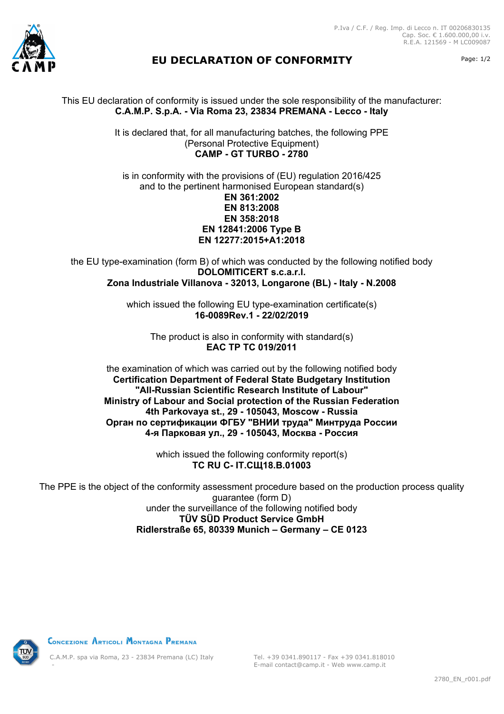



## **EU DECLARATION OF CONFORMITY** Page: 1/2

This EU declaration of conformity is issued under the sole responsibility of the manufacturer: **C.A.M.P. S.p.A. - Via Roma 23, 23834 PREMANA - Lecco - Italy**

> It is declared that, for all manufacturing batches, the following PPE (Personal Protective Equipment) **CAMP - GT TURBO - 2780**

is in conformity with the provisions of (EU) regulation 2016/425 and to the pertinent harmonised European standard(s) **EN 361:2002 EN 813:2008 EN 358:2018 EN 12841:2006 Type B EN 12277:2015+A1:2018**

the EU type-examination (form B) of which was conducted by the following notified body **DOLOMITICERT s.c.a.r.l. Zona Industriale Villanova - 32013, Longarone (BL) - Italy - N.2008**

> which issued the following EU type-examination certificate(s) **16-0089Rev.1 - 22/02/2019**

The product is also in conformity with standard(s) **EAC TP TC 019/2011**

the examination of which was carried out by the following notified body **Certification Department of Federal State Budgetary Institution "All-Russian Scientific Research Institute of Labour" Ministry of Labour and Social protection of the Russian Federation 4th Parkovaya st., 29 - 105043, Moscow - Russia Орган по сертификации ФГБУ "ВНИИ труда" Минтруда России 4-я Парковая ул., 29 - 105043, Москва - Россия**

> which issued the following conformity report(s) **ТС RU C- IT.СЩ18.В.01003**

The PPE is the object of the conformity assessment procedure based on the production process quality guarantee (form D) under the surveillance of the following notified body **TÜV SÜD Product Service GmbH Ridlerstraße 65, 80339 Munich – Germany – CE 0123**



CONCEZIONE ARTICOLI MONTAGNA PREMANA

C.A.M.P. spa via Roma, 23 - 23834 Premana (LC) Italy -